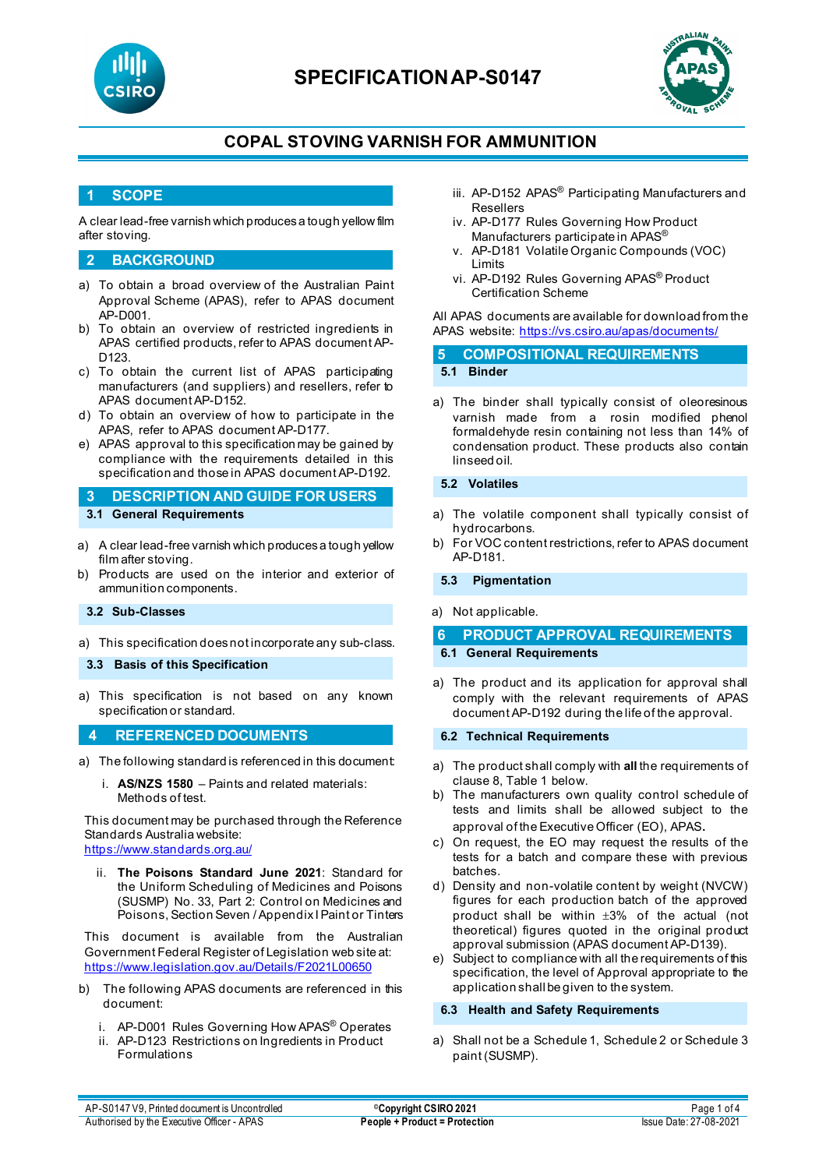

# **SPECIFICATIONAP-S0147**



## **COPAL STOVING VARNISH FOR AMMUNITION**

### **1 SCOPE**

A clear lead-free varnish which produces a tough yellow film after stoving.

#### **2 BACKGROUND**

- a) To obtain a broad overview of the Australian Paint Approval Scheme (APAS), refer to APAS document AP-D001.
- b) To obtain an overview of restricted ingredients in APAS certified products, refer to APAS document AP-D123.
- c) To obtain the current list of APAS participating manufacturers (and suppliers) and resellers, refer to APAS document AP-D152.
- d) To obtain an overview of how to participate in the APAS, refer to APAS document AP-D177.
- e) APAS approval to this specification may be gained by compliance with the requirements detailed in this specification and those in APAS document AP-D192.
- **3 DESCRIPTION AND GUIDE FOR USERS 3.1 General Requirements**
- a) A clear lead-free varnish which produces a tough yellow film after stoving.
- b) Products are used on the interior and exterior of ammunition components.

#### **3.2 Sub-Classes**

- a) This specification does not incorporate any sub-class.
- **3.3 Basis of this Specification**
- a) This specification is not based on any known specification or standard.

### **4 REFERENCED DOCUMENTS**

- a) The following standard is referenced in this document:
	- i. **AS/NZS 1580** Paints and related materials: Methods of test.

This document may be purchased through the Reference Standards Australia website:

<https://www.standards.org.au/>

ii. **The Poisons Standard June 2021**: Standard for the Uniform Scheduling of Medicines and Poisons (SUSMP) No. 33, Part 2: Control on Medicines and Poisons, Section Seven / Appendix I Paint or Tinters

This document is available from the Australian Government Federal Register of Legislation web site at: <https://www.legislation.gov.au/Details/F2021L00650>

- b) The following APAS documents are referenced in this document:
	- i. AP-D001 Rules Governing How APAS® Operates
	- ii. AP-D123 Restrictions on Ingredients in Product Formulations
- iii. AP-D152 APAS<sup>®</sup> Participating Manufacturers and Resellers
- iv. AP-D177 Rules Governing How Product Manufacturers participate in APAS®
- v. AP-D181 Volatile Organic Compounds (VOC) Limits
- vi. AP-D192 Rules Governing APAS® Product Certification Scheme

All APAS documents are available for download from the APAS website: <https://vs.csiro.au/apas/documents/>

**5 COMPOSITIONAL REQUIREMENTS 5.1 Binder**

a) The binder shall typically consist of oleoresinous varnish made from a rosin modified phenol formaldehyde resin containing not less than 14% of condensation product. These products also contain linseed oil.

#### **5.2 Volatiles**

- a) The volatile component shall typically consist of hydrocarbons.
- b) For VOC content restrictions, refer to APAS document AP-D181.

**5.3 Pigmentation**

a) Not applicable.

# **6 PRODUCT APPROVAL REQUIREMENTS**

- **6.1 General Requirements**
- a) The product and its application for approval shall comply with the relevant requirements of APAS document AP-D192 during the life of the approval.

#### **6.2 Technical Requirements**

- a) The product shall comply with **all** the requirements of clause 8, Table 1 below.
- b) The manufacturers own quality control schedule of tests and limits shall be allowed subject to the approval of the Executive Officer (EO), APAS.
- c) On request, the EO may request the results of the tests for a batch and compare these with previous batches.
- d) Density and non-volatile content by weight (NVCW) figures for each production batch of the approved product shall be within ±3% of the actual (not theoretical) figures quoted in the original product approval submission (APAS document AP-D139).
- e) Subject to compliance with all the requirements of this specification, the level of Approval appropriate to the application shall be given to the system.

**6.3 Health and Safety Requirements**

a) Shall not be a Schedule 1, Schedule 2 or Schedule 3 paint (SUSMP).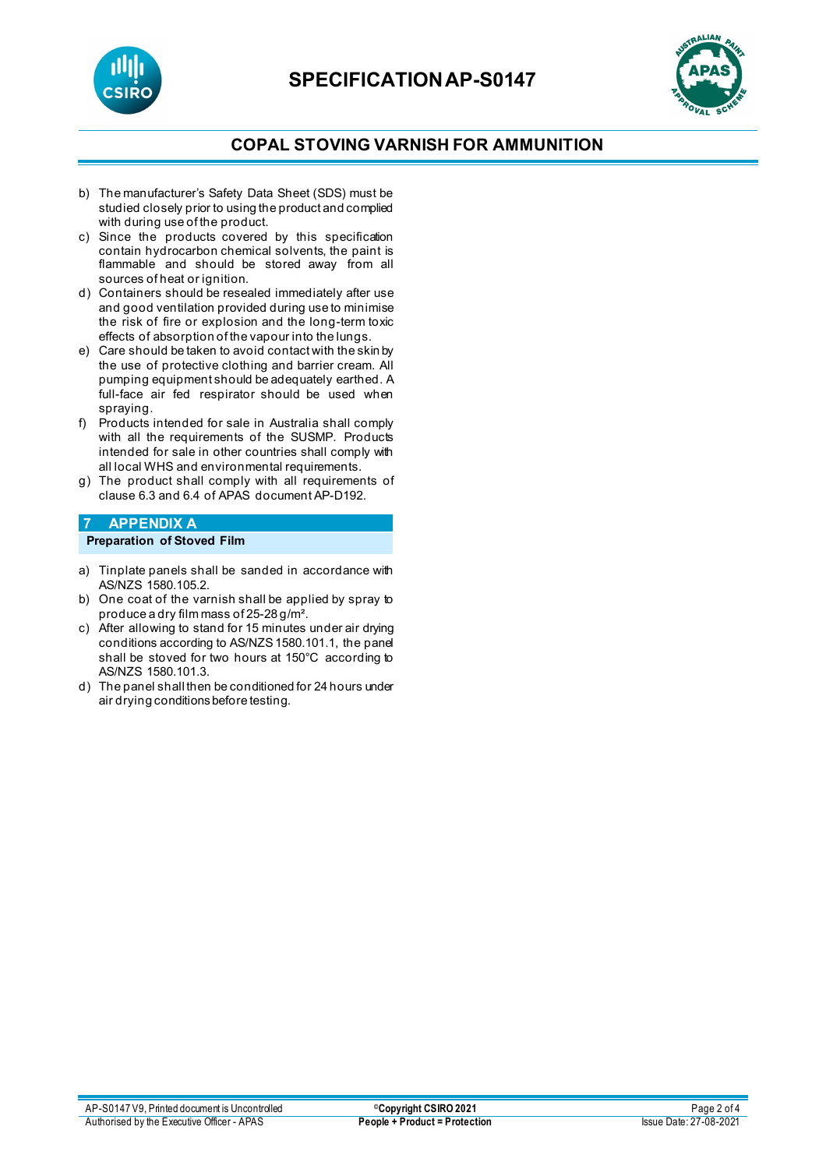



### **COPAL STOVING VARNISH FOR AMMUNITION**

- b) The manufacturer's Safety Data Sheet (SDS) must be studied closely prior to using the product and complied with during use of the product.
- c) Since the products covered by this specification contain hydrocarbon chemical solvents, the paint is flammable and should be stored away from all sources of heat or ignition.
- d) Containers should be resealed immediately after use and good ventilation provided during use to minimise the risk of fire or explosion and the long-term toxic effects of absorption of the vapour into the lungs.
- e) Care should be taken to avoid contact with the skin by the use of protective clothing and barrier cream. All pumping equipment should be adequately earthed. A full-face air fed respirator should be used when spraying.
- f) Products intended for sale in Australia shall comply with all the requirements of the SUSMP. Products intended for sale in other countries shall comply with all local WHS and environmental requirements.
- g) The product shall comply with all requirements of clause 6.3 and 6.4 of APAS document AP-D192.

#### **7 APPENDIX A Preparation of Stoved Film**

- a) Tinplate panels shall be sanded in accordance with AS/NZS 1580.105.2.
- b) One coat of the varnish shall be applied by spray to produce a dry film mass of 25-28 g/m².
- c) After allowing to stand for 15 minutes under air drying conditions according to AS/NZS 1580.101.1, the panel shall be stoved for two hours at 150°C according to AS/NZS 1580.101.3.
- d) The panel shall then be conditioned for 24 hours under air drying conditions before testing.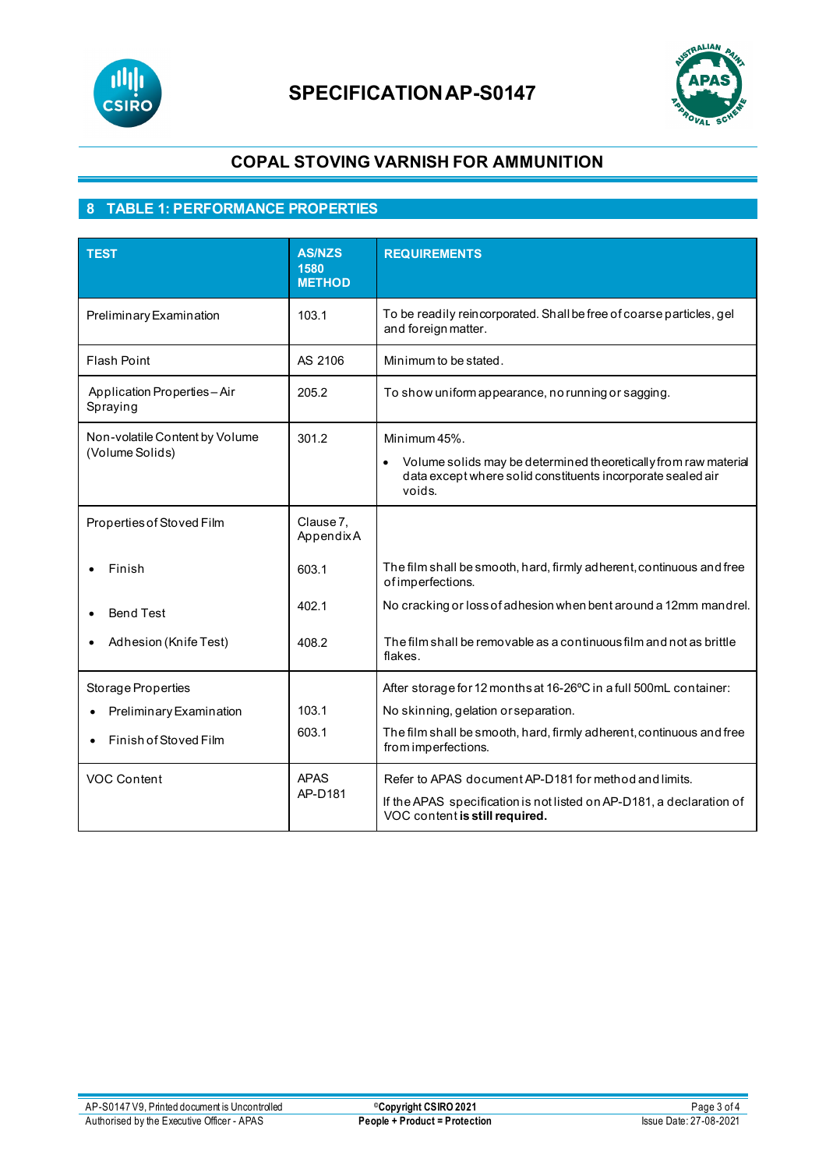

# **SPECIFICATIONAP-S0147**



## **COPAL STOVING VARNISH FOR AMMUNITION**

# **8 TABLE 1: PERFORMANCE PROPERTIES**

| <b>TEST</b>                                       | <b>AS/NZS</b><br>1580<br><b>METHOD</b> | <b>REQUIREMENTS</b>                                                                                                                      |
|---------------------------------------------------|----------------------------------------|------------------------------------------------------------------------------------------------------------------------------------------|
| Preliminary Examination                           | 103.1                                  | To be readily reincorporated. Shall be free of coarse particles, gel<br>and foreign matter.                                              |
| <b>Flash Point</b>                                | AS 2106                                | Minimum to be stated.                                                                                                                    |
| Application Properties-Air<br>Spraying            | 205.2                                  | To show uniform appearance, no running or sagging.                                                                                       |
| Non-volatile Content by Volume<br>(Volume Solids) | 301.2                                  | Minimum 45%.                                                                                                                             |
|                                                   |                                        | Volume solids may be determined theoretically from raw material<br>data except where solid constituents incorporate sealed air<br>voids. |
| Properties of Stoved Film                         | Clause 7,<br>AppendixA                 |                                                                                                                                          |
| Finish                                            | 603.1                                  | The film shall be smooth, hard, firmly adherent, continuous and free<br>of imperfections.                                                |
| <b>Bend Test</b>                                  | 402.1                                  | No cracking or loss of adhesion when bent around a 12mm mandrel.                                                                         |
| Adhesion (Knife Test)                             | 408.2                                  | The film shall be removable as a continuous film and not as brittle<br>flakes.                                                           |
| Storage Properties                                |                                        | After storage for 12 months at 16-26°C in a full 500mL container:                                                                        |
| Preliminary Examination                           | 103.1                                  | No skinning, gelation or separation.                                                                                                     |
| Finish of Stoved Film                             | 603.1                                  | The film shall be smooth, hard, firmly adherent, continuous and free<br>from imperfections.                                              |
| <b>VOC Content</b>                                | <b>APAS</b><br>AP-D181                 | Refer to APAS document AP-D181 for method and limits.                                                                                    |
|                                                   |                                        | If the APAS specification is not listed on AP-D181, a declaration of<br>VOC content is still required.                                   |